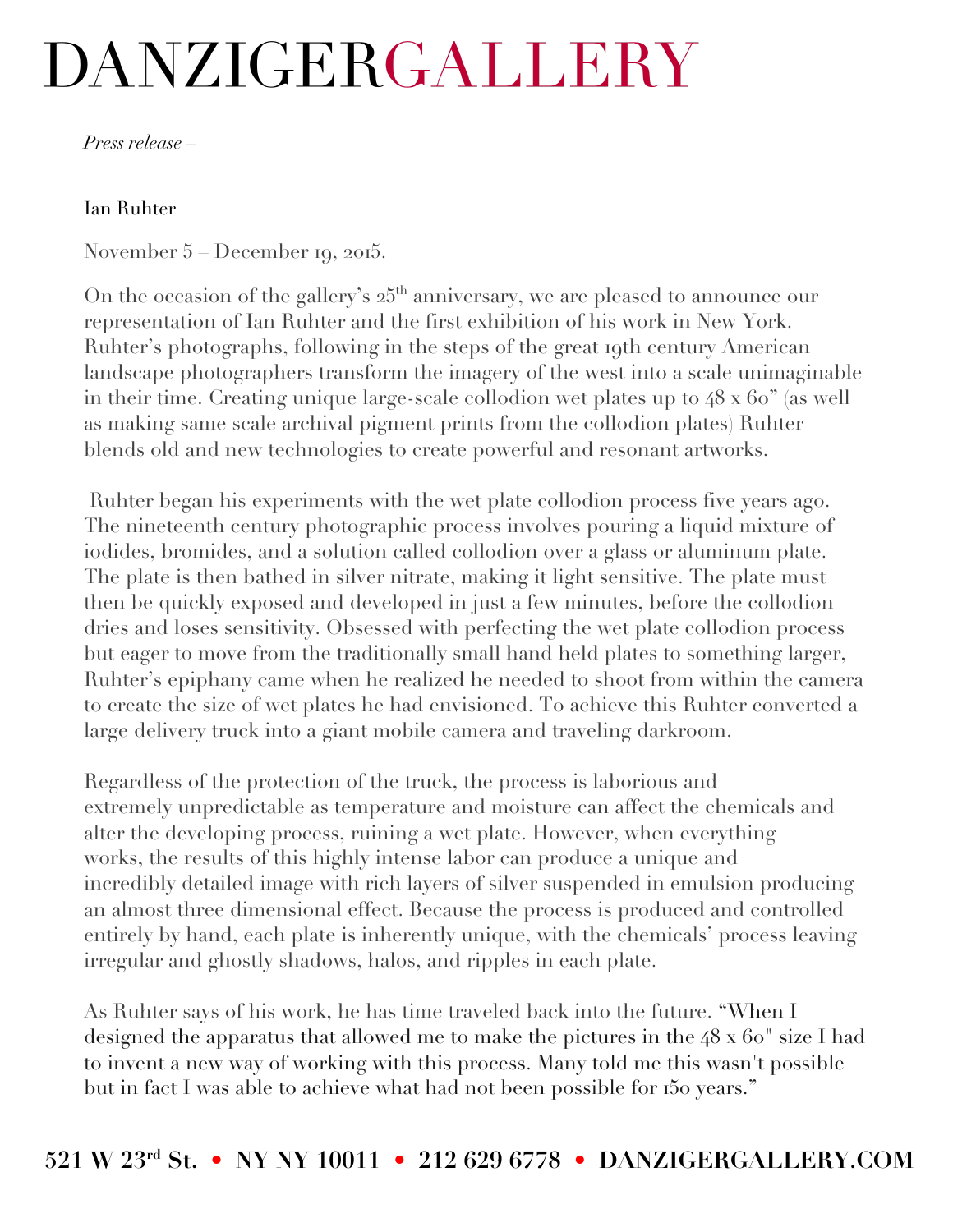## DANZIGERGALLERY

*Press release –*

## Ian Ruhter

November 5 – December 19, 2015.

On the occasion of the gallery's  $25<sup>th</sup>$  anniversary, we are pleased to announce our representation of Ian Ruhter and the first exhibition of his work in New York. Ruhter's photographs, following in the steps of the great 19th century American landscape photographers transform the imagery of the west into a scale unimaginable in their time. Creating unique large-scale collodion wet plates up to 48 x 60" (as well as making same scale archival pigment prints from the collodion plates) Ruhter blends old and new technologies to create powerful and resonant artworks.

Ruhter began his experiments with the wet plate collodion process five years ago. The nineteenth century photographic process involves pouring a liquid mixture of iodides, bromides, and a solution called collodion over a glass or aluminum plate. The plate is then bathed in silver nitrate, making it light sensitive. The plate must then be quickly exposed and developed in just a few minutes, before the collodion dries and loses sensitivity. Obsessed with perfecting the wet plate collodion process but eager to move from the traditionally small hand held plates to something larger, Ruhter's epiphany came when he realized he needed to shoot from within the camera to create the size of wet plates he had envisioned. To achieve this Ruhter converted a large delivery truck into a giant mobile camera and traveling darkroom.

Regardless of the protection of the truck, the process is laborious and extremely unpredictable as temperature and moisture can affect the chemicals and alter the developing process, ruining a wet plate. However, when everything works, the results of this highly intense labor can produce a unique and incredibly detailed image with rich layers of silver suspended in emulsion producing an almost three dimensional effect. Because the process is produced and controlled entirely by hand, each plate is inherently unique, with the chemicals' process leaving irregular and ghostly shadows, halos, and ripples in each plate.

As Ruhter says of his work, he has time traveled back into the future. "When I designed the apparatus that allowed me to make the pictures in the 48 x 60" size I had to invent a new way of working with this process. Many told me this wasn't possible but in fact I was able to achieve what had not been possible for 150 years."